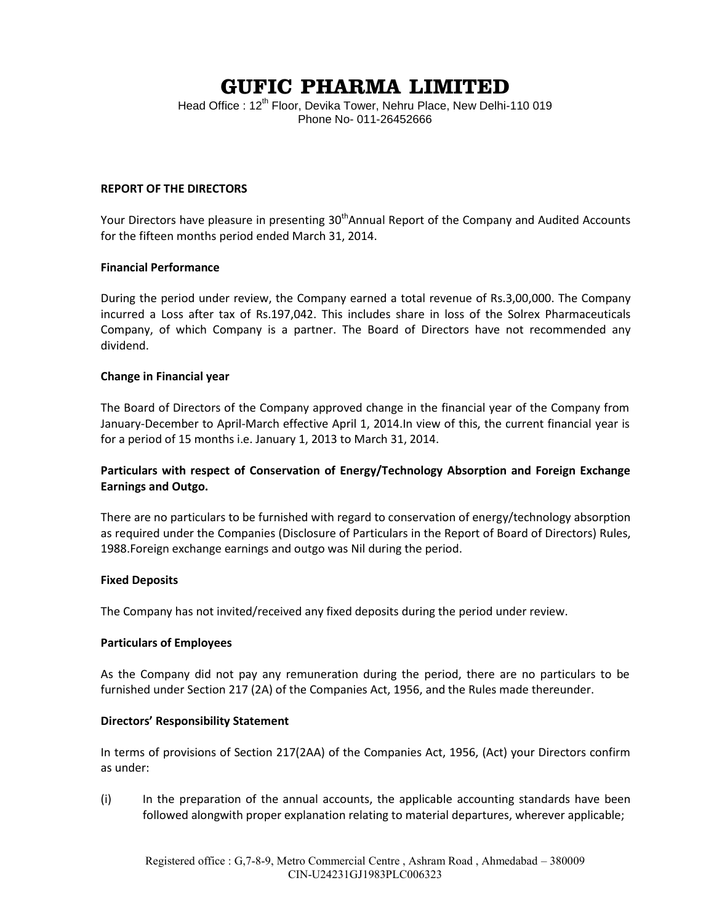# **GUFIC PHARMA LIMITED**

Head Office : 12<sup>th</sup> Floor, Devika Tower, Nehru Place, New Delhi-110 019 Phone No- 011-26452666

## **REPORT OF THE DIRECTORS**

Your Directors have pleasure in presenting 30<sup>th</sup>Annual Report of the Company and Audited Accounts for the fifteen months period ended March 31, 2014.

#### **Financial Performance**

During the period under review, the Company earned a total revenue of Rs.3,00,000. The Company incurred a Loss after tax of Rs.197,042. This includes share in loss of the Solrex Pharmaceuticals Company, of which Company is a partner. The Board of Directors have not recommended any dividend.

## **Change in Financial year**

The Board of Directors of the Company approved change in the financial year of the Company from January-December to April-March effective April 1, 2014.In view of this, the current financial year is for a period of 15 months i.e. January 1, 2013 to March 31, 2014.

## **Particulars with respect of Conservation of Energy/Technology Absorption and Foreign Exchange Earnings and Outgo.**

There are no particulars to be furnished with regard to conservation of energy/technology absorption as required under the Companies (Disclosure of Particulars in the Report of Board of Directors) Rules, 1988.Foreign exchange earnings and outgo was Nil during the period.

## **Fixed Deposits**

The Company has not invited/received any fixed deposits during the period under review.

## **Particulars of Employees**

As the Company did not pay any remuneration during the period, there are no particulars to be furnished under Section 217 (2A) of the Companies Act, 1956, and the Rules made thereunder.

## **Directors' Responsibility Statement**

In terms of provisions of Section 217(2AA) of the Companies Act, 1956, (Act) your Directors confirm as under:

(i) In the preparation of the annual accounts, the applicable accounting standards have been followed alongwith proper explanation relating to material departures, wherever applicable;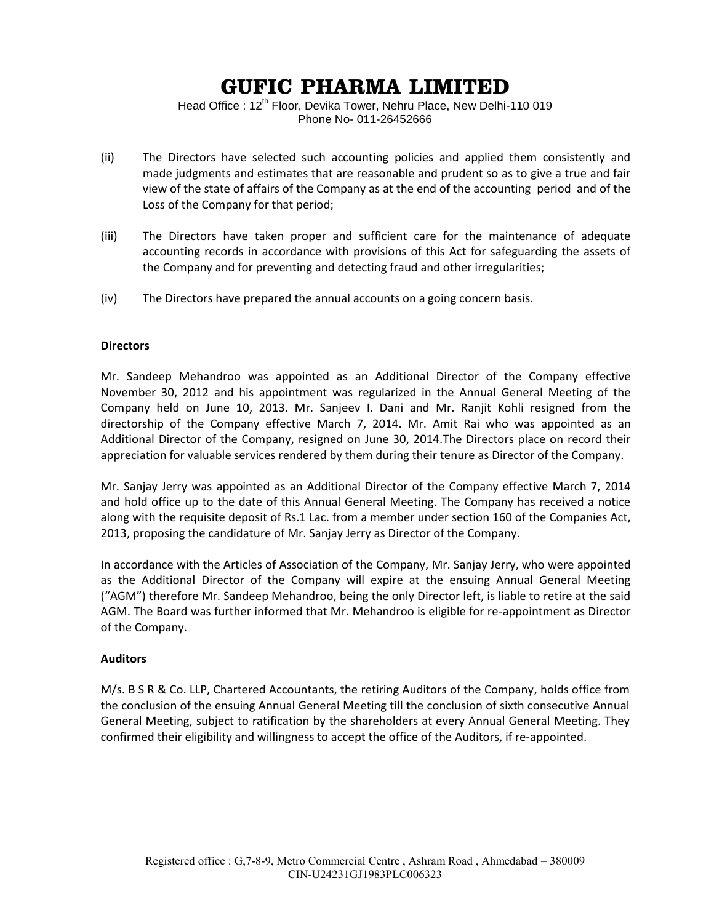## **GUFIC PHARMA LIMITED**

Head Office : 12<sup>th</sup> Floor, Devika Tower, Nehru Place, New Delhi-110 019 Phone No- 011-26452666

- (ii) The Directors have selected such accounting policies and applied them consistently and made judgments and estimates that are reasonable and prudent so as to give a true and fair view of the state of affairs of the Company as at the end of the accounting period and of the Loss of the Company for that period;
- (iii) The Directors have taken proper and sufficient care for the maintenance of adequate accounting records in accordance with provisions of this Act for safeguarding the assets of the Company and for preventing and detecting fraud and other irregularities;
- (iv) The Directors have prepared the annual accounts on a going concern basis.

## **Directors**

Mr. Sandeep Mehandroo was appointed as an Additional Director of the Company effective November 30, 2012 and his appointment was regularized in the Annual General Meeting of the Company held on June 10, 2013. Mr. Sanjeev I. Dani and Mr. Ranjit Kohli resigned from the directorship of the Company effective March 7, 2014. Mr. Amit Rai who was appointed as an Additional Director of the Company, resigned on June 30, 2014.The Directors place on record their appreciation for valuable services rendered by them during their tenure as Director of the Company.

Mr. Sanjay Jerry was appointed as an Additional Director of the Company effective March 7, 2014 and hold office up to the date of this Annual General Meeting. The Company has received a notice along with the requisite deposit of Rs.1 Lac. from a member under section 160 of the Companies Act, 2013, proposing the candidature of Mr. Sanjay Jerry as Director of the Company.

In accordance with the Articles of Association of the Company, Mr. Sanjay Jerry, who were appointed as the Additional Director of the Company will expire at the ensuing Annual General Meeting ("AGM") therefore Mr. Sandeep Mehandroo, being the only Director left, is liable to retire at the said AGM. The Board was further informed that Mr. Mehandroo is eligible for re-appointment as Director of the Company.

## **Auditors**

M/s. B S R & Co. LLP, Chartered Accountants, the retiring Auditors of the Company, holds office from the conclusion of the ensuing Annual General Meeting till the conclusion of sixth consecutive Annual General Meeting, subject to ratification by the shareholders at every Annual General Meeting. They confirmed their eligibility and willingness to accept the office of the Auditors, if re-appointed.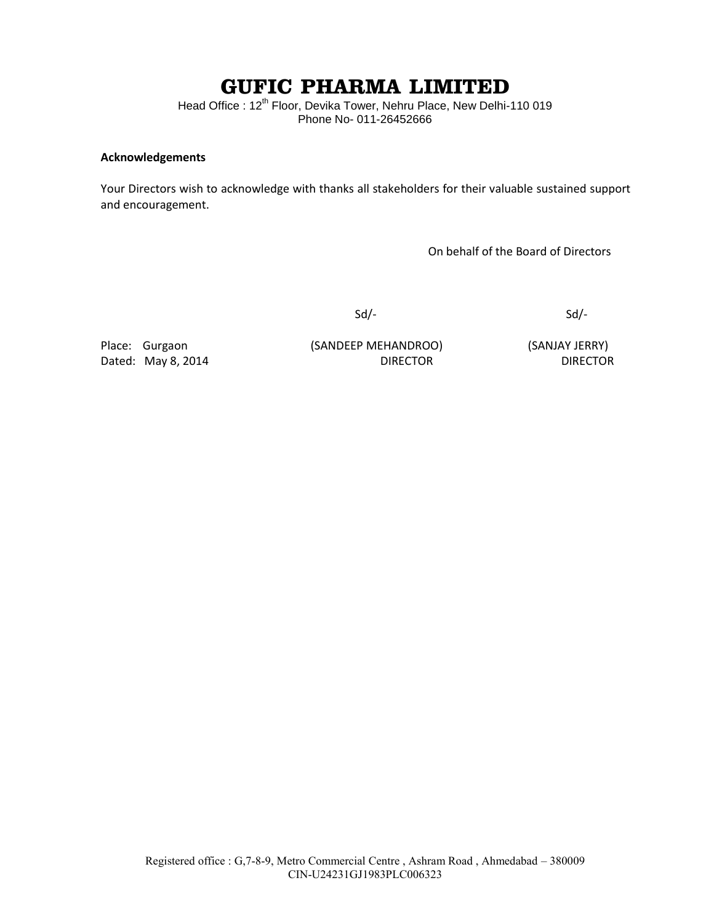# **GUFIC PHARMA LIMITED**

Head Office : 12<sup>th</sup> Floor, Devika Tower, Nehru Place, New Delhi-110 019 Phone No- 011-26452666

## **Acknowledgements**

Your Directors wish to acknowledge with thanks all stakeholders for their valuable sustained support and encouragement.

On behalf of the Board of Directors

Sd/- Sd/-

Place: Gurgaon (SANDEEP MEHANDROO) (SANJAY JERRY) Dated: May 8, 2014 **DIRECTOR** DIRECTOR **DIRECTOR**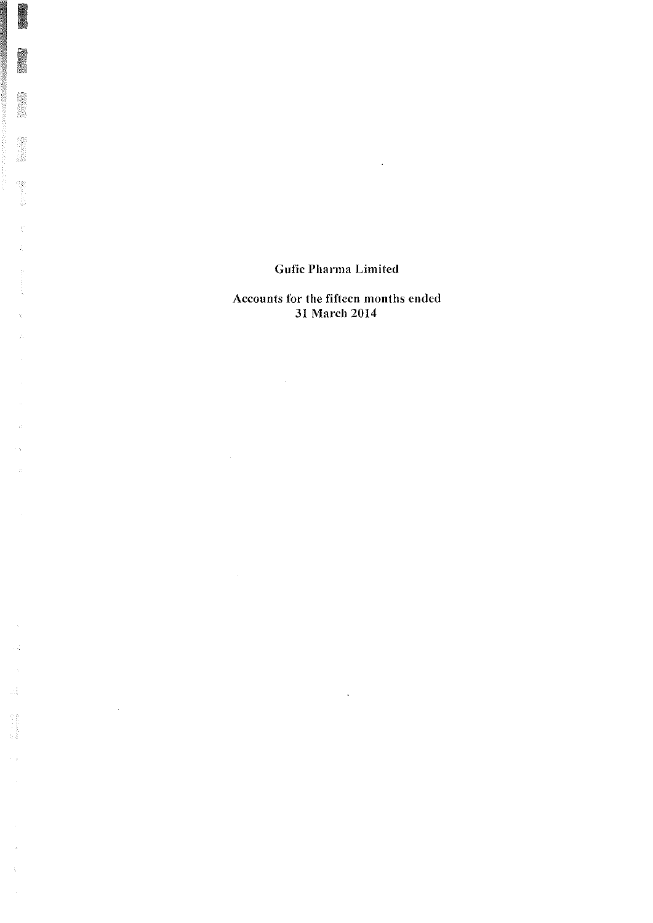$\mathcal{L}^{\text{max}}_{\text{max}}$  and  $\mathcal{L}^{\text{max}}_{\text{max}}$ 

3

1.

 $\hat{\mathbf{u}}$ 

 $\phi_{\rm b}$ 

 $\frac{1}{2}$ 

 $\sim$  4

 $\hat{\omega}_3^{\dagger}$ 

 $\begin{array}{l} \mathcal{M}_1 \\ \mathcal{M}_2 \\ \mathcal{M}_3 \\ \mathcal{M}_4 \\ \mathcal{M}_5 \\ \mathcal{M}_6 \\ \mathcal{M}_7 \\ \mathcal{M}_8 \\ \mathcal{M}_9 \\ \mathcal{M}_9 \\ \mathcal{M}_9 \\ \mathcal{M}_9 \\ \mathcal{M}_9 \\ \mathcal{M}_9 \\ \mathcal{M}_9 \\ \mathcal{M}_9 \\ \mathcal{M}_9 \\ \mathcal{M}_9 \\ \mathcal{M}_9 \\ \mathcal{M}_9 \\ \mathcal{M}_9 \\ \mathcal{M}_9 \\ \mathcal{M}_9 \\ \mathcal{M}_9 \\ \mathcal{M}_9 \\ \mathcal{M}_9 \\ \mathcal{M$ 

 $\bar{\beta}$  $\hat{\zeta}$ 

 $\mathcal{L}^{\text{max}}_{\text{max}}$  ,  $\mathcal{L}^{\text{max}}_{\text{max}}$ 

Accounts for the fifteen months ended 31 March 2014

 $\sim$   $\sim$ 

 $\sim 10^{11}$ 

 $\mathcal{L}^{\text{max}}_{\text{max}}$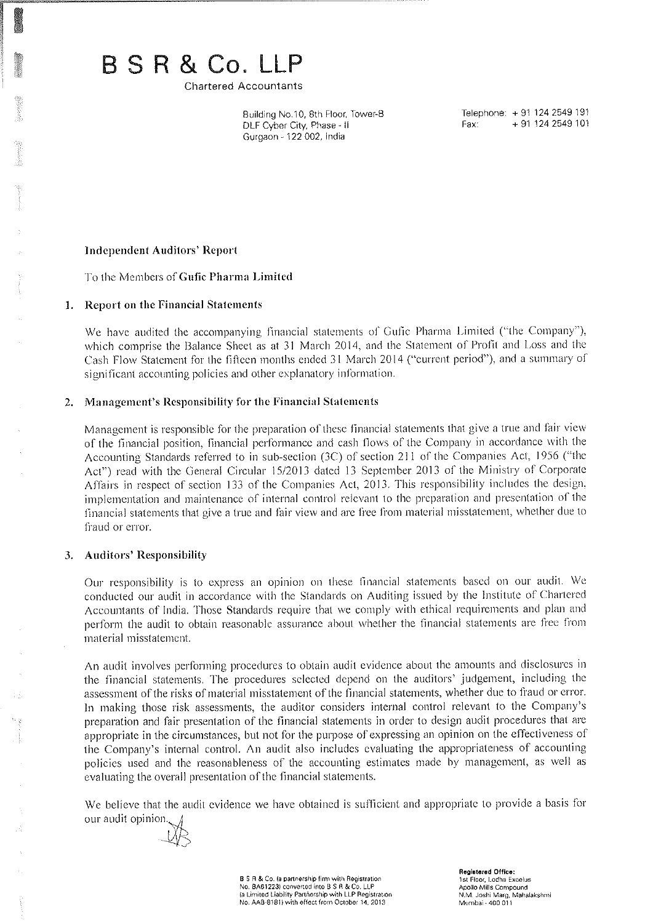# BSR&Co.LLP

**Chartered Accountants** 

Building No.10, 8th Floor, Tower-B DLF Cyber City, Phase - II Gurgaon - 122 002, India

Telephone: +91 124 2549 191 Fax: +91 124 2549 101

#### **Independent Auditors' Report**

To the Members of Gufic Pharma Limited

#### 1. Report on the Financial Statements

We have audited the accompanying financial statements of Gufic Pharma Limited ("the Company"), which comprise the Balance Sheet as at 31 March 2014, and the Statement of Profit and Loss and the Cash Flow Statement for the fifteen months ended 31 March 2014 ("current period"), and a summary of significant accounting policies and other explanatory information.

## 2. Management's Responsibility for the Financial Statements

Management is responsible for the preparation of these financial statements that give a true and fair view of the financial position, financial performance and cash flows of the Company in accordance with the Accounting Standards referred to in sub-section (3C) of section 211 of the Companies Act, 1956 ("the Act") read with the General Circular 15/2013 dated 13 September 2013 of the Ministry of Corporate Affairs in respect of section 133 of the Companies Act, 2013. This responsibility includes the design, implementation and maintenance of internal control relevant to the preparation and presentation of the financial statements that give a true and fair view and are free from material misstatement, whether due to fraud or error.

## 3. Auditors' Responsibility

Our responsibility is to express an opinion on these financial statements based on our audit. We conducted our audit in accordance with the Standards on Auditing issued by the Institute of Chartered Accountants of India. Those Standards require that we comply with ethical requirements and plan and perform the audit to obtain reasonable assurance about whether the financial statements are free from material misstatement.

An audit involves performing procedures to obtain audit evidence about the amounts and disclosures in the financial statements. The procedures selected depend on the auditors' judgement, including the assessment of the risks of material misstatement of the financial statements, whether due to fraud or error. In making those risk assessments, the auditor considers internal control relevant to the Company's preparation and fair presentation of the financial statements in order to design audit procedures that are appropriate in the circumstances, but not for the purpose of expressing an opinion on the effectiveness of the Company's internal control. An audit also includes evaluating the appropriateness of accounting policies used and the reasonableness of the accounting estimates made by management, as well as evaluating the overall presentation of the financial statements.

We believe that the audit evidence we have obtained is sufficient and appropriate to provide a basis for our audit opinion.

B S R & Co. (a partnership firm with Registration No. BA61223) converted into B S R & Co. LLP (a Limited Liability Partnership with LLP Registration No. AAB-8181) with effect from October 14, 2013

Registered Office: 1st Floor, Lodha Excelus Apollo Mills Compound N.M. Joshi Marg, Mahalakshmi Mumbai - 400 011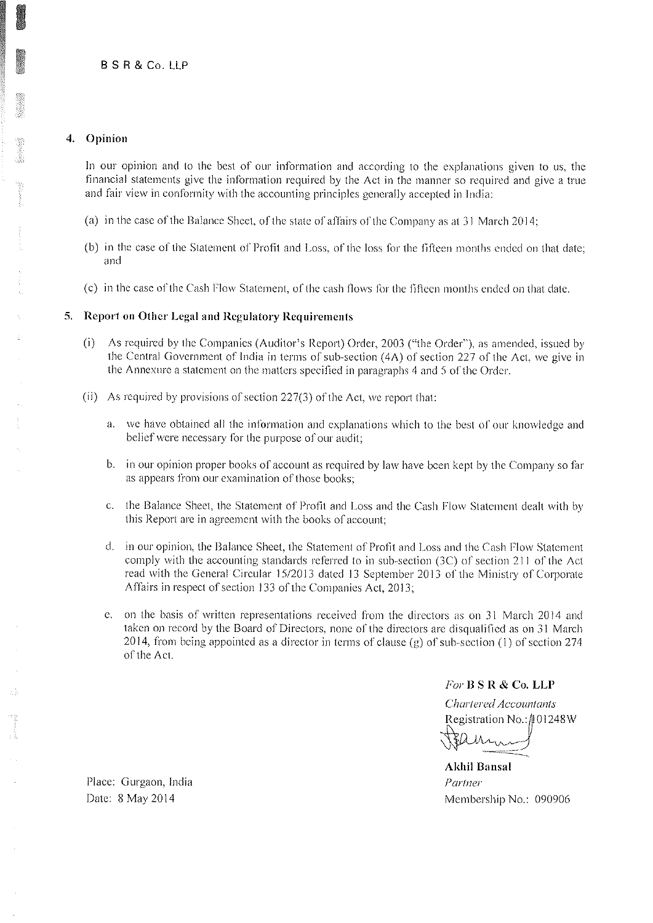## 4. Opinion

In our opinion and to the best of our information and according to the explanations given to us, the financial statements give the information required by the Act in the manner so required and give a true and fair view in conformity with the accounting principles generally accepted in India:

- (a) in the case of the Balance Sheet, of the state of affairs of the Company as at 31 March 2014;
- (b) in the case of the Statement of Profit and Loss, of the loss for the fifteen months ended on that date; and
- (c) in the case of the Cash Flow Statement, of the cash flows for the fifteen months ended on that date.

## 5. Report on Other Legal and Regulatory Requirements

- (i) As required by the Companies (Auditor's Report) Order, 2003 ("the Order"), as amended, issued by the Central Government of India in terms of sub-section (4A) of section 227 of the Act, we give in the Annexure a statement on the matters specified in paragraphs 4 and 5 of the Order.
- (ii) As required by provisions of section 227(3) of the Act, we report that:
	- a. we have obtained all the information and explanations which to the best of our knowledge and belief were necessary for the purpose of our audit;
	- b. in our opinion proper books of account as required by law have been kept by the Company so far as appears from our examination of those books;
	- c. the Balance Sheet, the Statement of Profit and Loss and the Cash Flow Statement dealt with by this Report are in agreement with the books of account;
	- d. in our opinion, the Balance Sheet, the Statement of Profit and Loss and the Cash Flow Statement comply with the accounting standards referred to in sub-section (3C) of section 211 of the Act read with the General Circular 15/2013 dated 13 September 2013 of the Ministry of Corporate Affairs in respect of section 133 of the Companies Act, 2013;
	- e. on the basis of written representations received from the directors as on 31 March 2014 and taken on record by the Board of Directors, none of the directors are disqualified as on 31 March 2014, from being appointed as a director in terms of clause (g) of sub-section (1) of section 274 of the Act.

For B S R & Co. LLP

Chartered Accountants Registration No.: 101248W

**Akhil Bansal** Partner Membership No.: 090906

Place: Gurgaon, India Date: 8 May 2014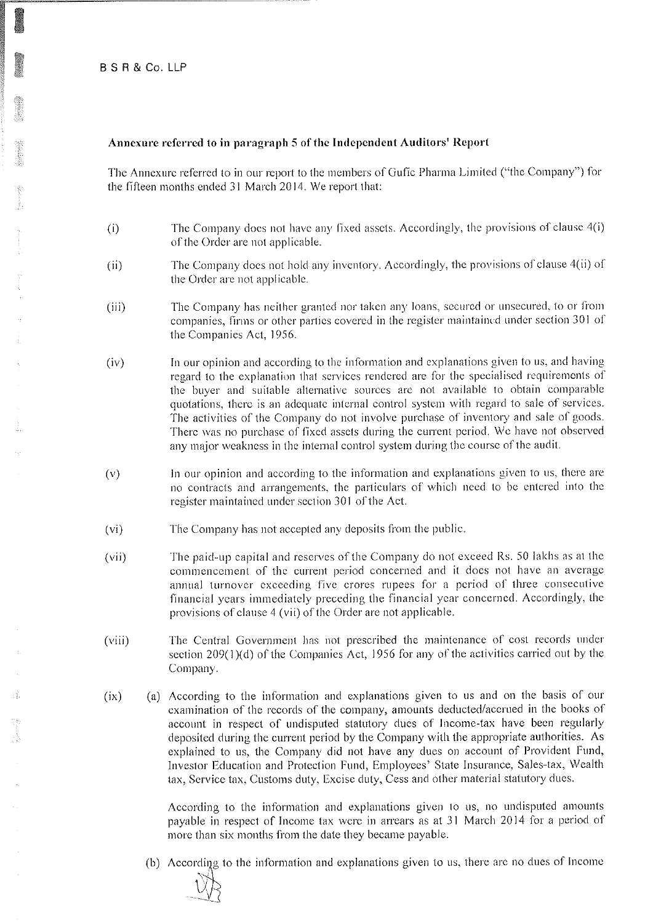## Annexure referred to in paragraph 5 of the Independent Auditors' Report

The Annexure referred to in our report to the members of Gufic Pharma Limited ("the Company") for the fifteen months ended 31 March 2014. We report that:

- $(i)$ The Company does not have any fixed assets. Accordingly, the provisions of clause 4(i) of the Order are not applicable.
- The Company does not hold any inventory. Accordingly, the provisions of clause 4(ii) of  $(ii)$ the Order are not applicable.
- The Company has neither granted nor taken any loans, secured or unsecured, to or from  $(iii)$ companies, firms or other parties covered in the register maintained under section 301 of the Companies Act, 1956.
- In our opinion and according to the information and explanations given to us, and having  $(iv)$ regard to the explanation that services rendered are for the specialised requirements of the buyer and suitable alternative sources are not available to obtain comparable quotations, there is an adequate internal control system with regard to sale of services. The activities of the Company do not involve purchase of inventory and sale of goods. There was no purchase of fixed assets during the current period. We have not observed any major weakness in the internal control system during the course of the audit.
- In our opinion and according to the information and explanations given to us, there are  $(v)$ no contracts and arrangements, the particulars of which need to be entered into the register maintained under section 301 of the Act.
- The Company has not accepted any deposits from the public.  $(v<sub>i</sub>)$
- The paid-up capital and reserves of the Company do not exceed Rs. 50 lakhs as at the  $(vii)$ commencement of the current period concerned and it does not have an average annual turnover exceeding five crores rupees for a period of three consecutive financial years immediately preceding the financial year concerned. Accordingly, the provisions of clause 4 (vii) of the Order are not applicable.
- The Central Government has not prescribed the maintenance of cost records under  $(viii)$ section  $209(1)(d)$  of the Companies Act, 1956 for any of the activities carried out by the Company.
- (a) According to the information and explanations given to us and on the basis of our  $(ix)$ examination of the records of the company, amounts deducted/accrued in the books of account in respect of undisputed statutory dues of Income-tax have been regularly deposited during the current period by the Company with the appropriate authorities. As explained to us, the Company did not have any dues on account of Provident Fund, Investor Education and Protection Fund, Employees' State Insurance, Sales-tax, Wealth tax, Service tax, Customs duty, Excise duty, Cess and other material statutory dues.

According to the information and explanations given to us, no undisputed amounts payable in respect of Income tax were in arrears as at 31 March 2014 for a period of more than six months from the date they became payable.

(b) According to the information and explanations given to us, there are no dues of Income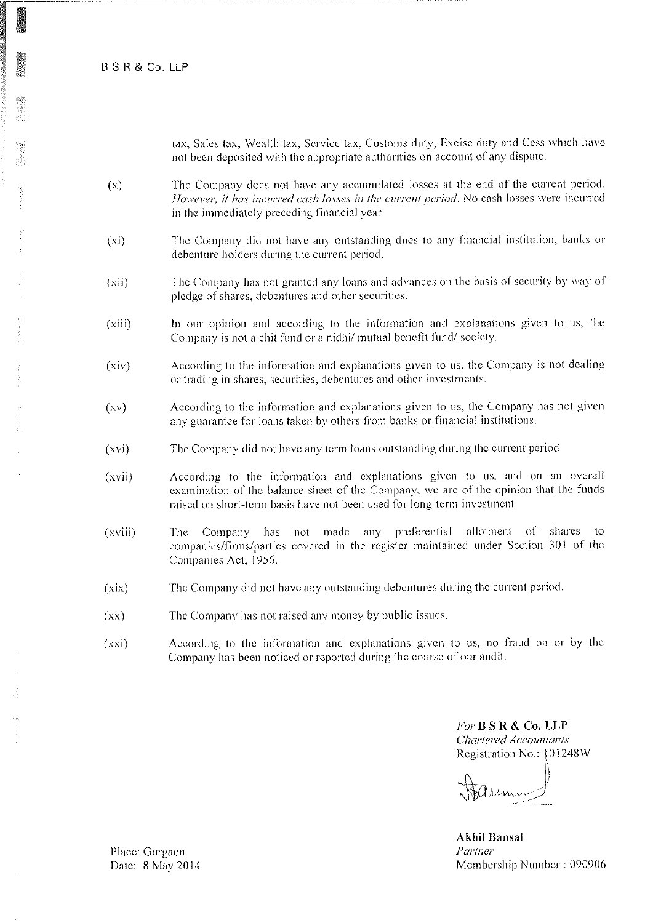**BSR&Co, LLP** 

tax, Sales tax, Wealth tax, Service tax, Customs duty, Excise duty and Cess which have not been deposited with the appropriate authorities on account of any dispute.

- The Company does not have any accumulated losses at the end of the current period.  $(x)$ However, it has incurred cash losses in the current period. No cash losses were incurred in the immediately preceding financial year.
- The Company did not have any outstanding dues to any financial institution, banks or  $(x<sub>i</sub>)$ debenture holders during the current period.
- The Company has not granted any loans and advances on the basis of security by way of  $(xii)$ pledge of shares, debentures and other securities.
- In our opinion and according to the information and explanations given to us, the  $(xiii)$ Company is not a chit fund or a nidhi/ mutual benefit fund/society.
- According to the information and explanations given to us, the Company is not dealing  $(xiv)$ or trading in shares, securities, debentures and other investments.
- According to the information and explanations given to us, the Company has not given  $(xy)$ any guarantee for loans taken by others from banks or financial institutions.
- $(xvi)$ The Company did not have any term loans outstanding during the current period.
- According to the information and explanations given to us, and on an overall  $(xvii)$ examination of the balance sheet of the Company, we are of the opinion that the funds raised on short-term basis have not been used for long-term investment.
- $(xviii)$ Company has not made any preferential allotment of shares  $10<sup>2</sup>$ The companies/firms/parties covered in the register maintained under Section 301 of the Companies Act, 1956.
- The Company did not have any outstanding debentures during the current period.  $(xix)$
- The Company has not raised any money by public issues.  $(xx)$
- According to the information and explanations given to us, no fraud on or by the  $(xxi)$ Company has been noticed or reported during the course of our audit.

For B S R & Co. LLP **Chartered Accountants** Registration No.: 101248W

aum

**Akhil Bansal** Partner Membership Number: 090906

Place: Gurgaon Date: 8 May 2014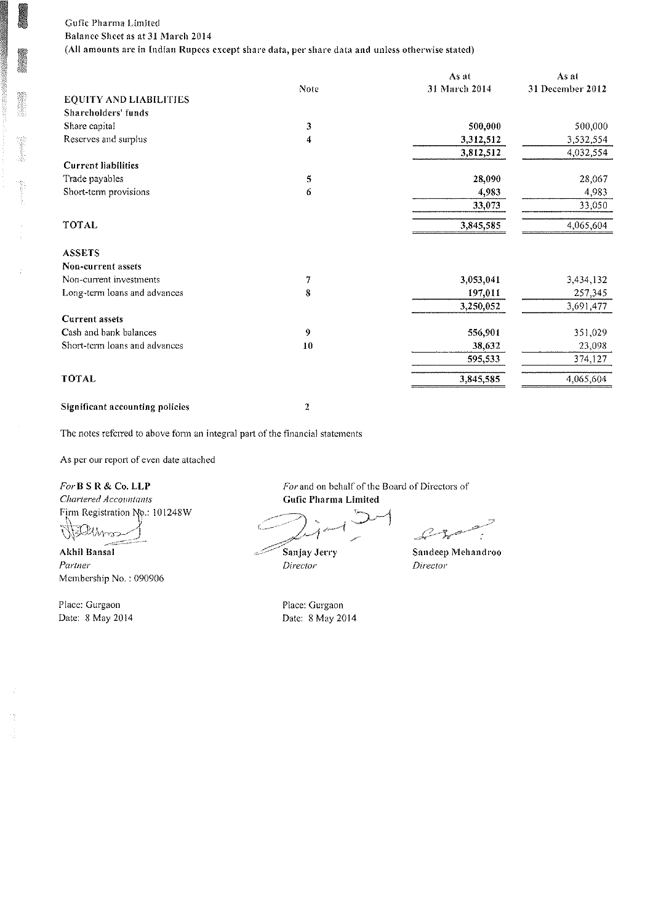## Gufic Pharma Limited Balance Sheet as at 31 March 2014 (All amounts are in Indian Rupees except share data, per share data and unless otherwise stated)

|                               |             | As at         | As at            |
|-------------------------------|-------------|---------------|------------------|
|                               | <b>Note</b> | 31 March 2014 | 31 December 2012 |
| <b>EQUITY AND LIABILITIES</b> |             |               |                  |
| Shareholders' funds           |             |               |                  |
| Share capital                 | 3           | 500,000       | 500,000          |
| Reserves and surplus          | 4           | 3,312,512     | 3,532,554        |
|                               |             | 3,812,512     | 4,032,554        |
| <b>Current liabilities</b>    |             |               |                  |
| Trade payables                | 5           | 28,090        | 28,067           |
| Short-term provisions         | 6           | 4,983         | 4,983            |
|                               |             | 33,073        | 33,050           |
| TOTAL                         |             | 3,845,585     | 4,065,604        |
| <b>ASSETS</b>                 |             |               |                  |
| Non-current assets            |             |               |                  |
| Non-current investments       | 7           | 3,053,041     | 3,434,132        |
| Long-term loans and advances  | 8           | 197,011       | 257,345          |
|                               |             | 3,250,052     | 3,691,477        |
| <b>Current assets</b>         |             |               |                  |
| Cash and bank balances        | 9           | 556,901       | 351,029          |
| Short-term loans and advances | 10          | 38,632        | 23,098           |
|                               |             | 595,533       | 374,127          |
| TOTAL                         |             | 3,845,585     | 4,065,604        |
|                               |             |               |                  |

## Significant accounting policies

 $\mathbf 2$ 

The notes referred to above form an integral part of the financial statements

As per our report of even date attached

## For B S R & Co. LLP

Chartered Accountants Firm Registration No.: 101248W

Ü, dihnoo

Akhil Bansal Partner Membership No.: 090906

Place: Gurgaon Date: 8 May 2014 For and on behalf of the Board of Directors of Gufic Pharma Limited

Sanjay Jerry Director

Place: Gurgaon Date: 8 May 2014  $\mathscr{L}$  $-\frac{sp}{s}$ 

Sandeep Mehandroo Director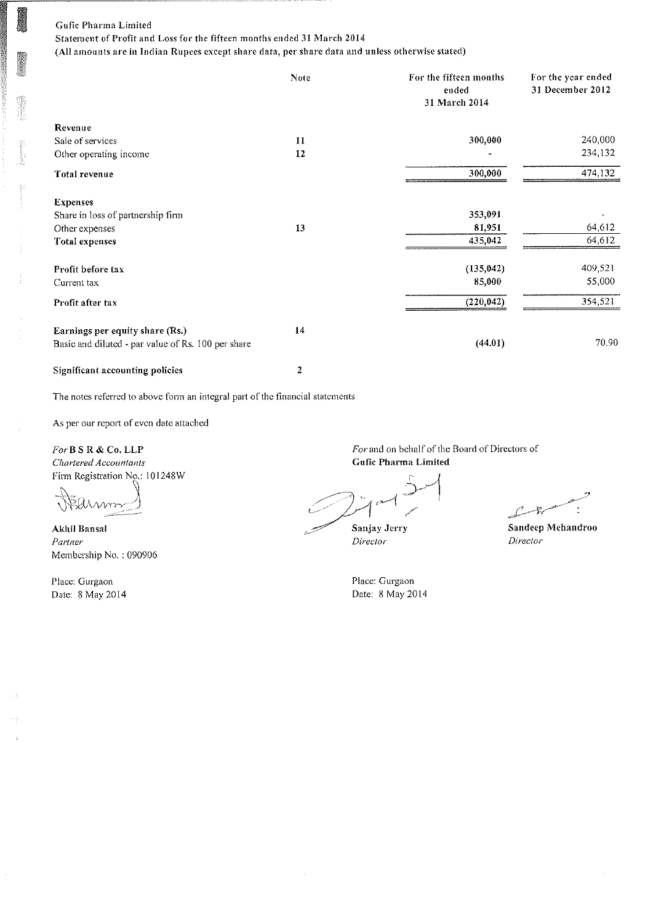Statement of Profit and Loss for the fifteen months ended 31 March 2014

(All amounts are in Indian Rupees except share data, per share data and unless otherwise stated)

|                                                    | Note         | For the fifteen months<br>ended<br>31 March 2014 | For the year ended<br>31 December 2012 |
|----------------------------------------------------|--------------|--------------------------------------------------|----------------------------------------|
| Revenue                                            |              |                                                  |                                        |
| Sale of services                                   | 11           | 300,000                                          | 240,000                                |
| Other operating income                             | 12           |                                                  | 234,132                                |
| Total revenue                                      |              | 300,000                                          | 474,132                                |
| <b>Expenses</b>                                    |              |                                                  |                                        |
| Share in loss of partnership firm                  |              | 353.091                                          |                                        |
| Other expenses                                     | 13           | 81,951                                           | 64,612                                 |
| Total expenses                                     |              | 435,042                                          | 64,612                                 |
| Profit before tax                                  |              | (135, 042)                                       | 409,521                                |
| Current tax                                        |              | 85.000                                           | 55,000                                 |
| Profit after tax                                   |              | (220, 042)                                       | 354,521                                |
| Earnings per equity share (Rs.)                    | 14           |                                                  |                                        |
| Basic and diluted - par value of Rs. 100 per share |              | (44.01)                                          | 70.90                                  |
| Significant accounting policies                    | $\mathbf{z}$ |                                                  |                                        |

The notes referred to above form an integral part of the financial statements

As per our report of even date attached

For B S R & Co. LLP Chartered Accountants Firm Registration No.: 101248W

**Akhil Bansal** Partner Membership No.: 090906

Place: Gurgaon Date: 8 May 2014

 $\bar{\gamma}$ 

For and on behalf of the Board of Directors of **Gufic Pharma Limited** 

Sanjay Jerry

Director

Place: Gurgaon Date: 8 May 2014

يسكحه 戈

Sandeep Mehandroo Director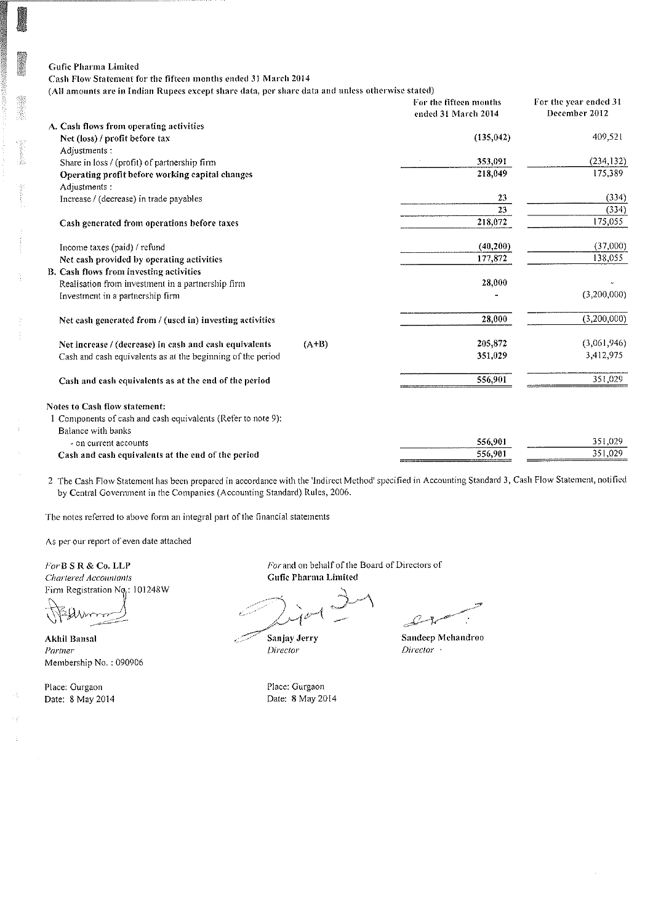Cash Flow Statement for the fifteen months ended 31 March 2014

(All amounts are in Indian Rupees except share data, per share data and unless otherwise stated)

|                                                                   | For the fifteen months<br>ended 31 March 2014 | For the year ended 31<br>December 2012 |
|-------------------------------------------------------------------|-----------------------------------------------|----------------------------------------|
| A. Cash flows from operating activities                           |                                               |                                        |
| Net (loss) / profit before tax                                    | (135, 042)                                    | 409,521                                |
| Adjustments :                                                     |                                               |                                        |
| Share in loss / (profit) of partnership firm                      | 353,091                                       | (234, 132)                             |
| Operating profit before working capital changes                   | 218,049                                       | 175,389                                |
| Adjustments:                                                      |                                               |                                        |
| Increase / (decrease) in trade payables                           | 23                                            | (334)                                  |
|                                                                   | 23                                            | (334)                                  |
| Cash generated from operations before taxes                       | 218,072                                       | 175,055                                |
| Income taxes (paid) / refund                                      | (40, 200)                                     | (37,000)                               |
| Net cash provided by operating activities                         | 177,872                                       | 138,055                                |
| B. Cash flows from investing activities                           |                                               |                                        |
| Realisation from investment in a partnership firm                 | 28,000                                        |                                        |
| Investment in a partnership firm                                  |                                               | (3,200,000)                            |
| Net cash generated from / (used in) investing activities          | 28,000                                        | (3,200,000)                            |
| Net increase / (decrease) in cash and cash equivalents<br>$(A+B)$ | 205,872                                       | (3,061,946)                            |
| Cash and cash equivalents as at the beginning of the period       | 351,029                                       | 3,412,975                              |
| Cash and cash equivalents as at the end of the period             | 556,901                                       | 351,029                                |
| Notes to Cash flow statement:                                     |                                               |                                        |
| I Components of cash and cash equivalents (Refer to note 9):      |                                               |                                        |
| Balance with banks                                                |                                               |                                        |
| - on current accounts                                             | 556,901                                       | 351,029                                |
| Cash and cash equivalents at the end of the period                | 556,901                                       | 351,029                                |

2 The Cash Flow Statement has been prepared in accordance with the 'Indirect Method' specified in Accounting Standard 3, Cash Flow Statement, notified by Central Government in the Companies (Accounting Standard) Rules, 2006.

The notes referred to above form an integral part of the financial statements

As per our report of even date attached

For  $B S R & Co. LLP$ Chartered Accountants Firm Registration No<sub>r</sub>: 101248W

Akhil Bansal Partner Membership No.: 090906

Place: Gurgaon Date: 8 May 2014 For and on behalf of the Board of Directors of Gufic Pharma Limited

Sanjay Jerry Director

L

Sandeep Mehandroo Director ·

Place: Gurgaon Date: 8 May 2014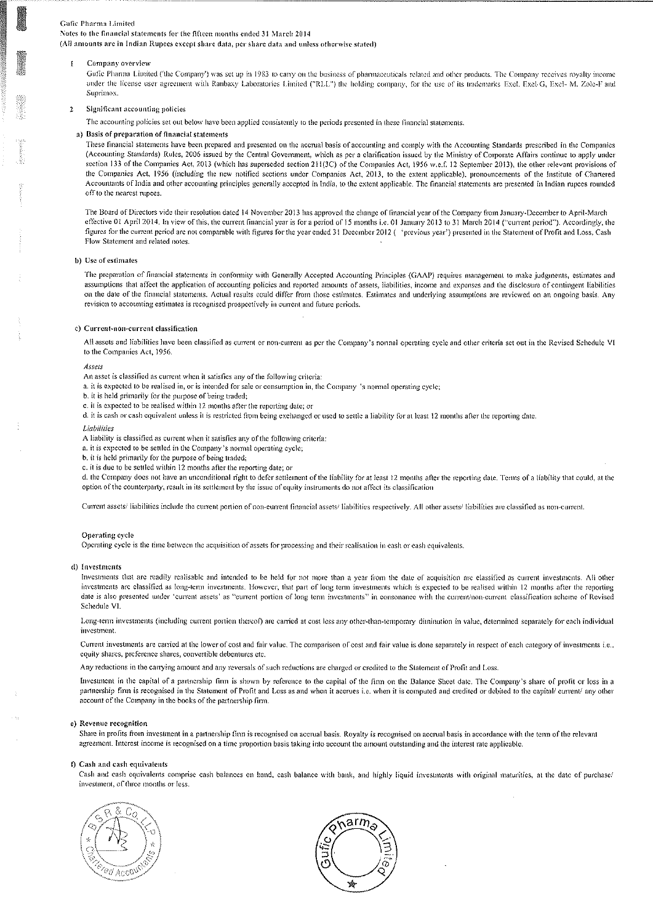Notes to the financial statements for the fifteen months ended 31 March 2014

(All amounts are in Indian Rupees except share data, per share data and unless otherwise stated)

#### Company overview  $\mathbf{I}$

Gufic Pharma Limited ('the Company') was set up in 1983 to cany on the business of pharmaceuticals related and other products. The Company receives royalty income under the license user agreement with Ranbaxy Laboratories Limited ("RLL") the holding company, for the use of its trademarks Exel, Exel-G, Exel-M, Zole-F and Suprimox.

#### Significant accounting policies  $\overline{2}$

The accounting policies set out below have been applied consistently to the periods presented in these financial statements.

#### a) Basis of preparation of financial statements

These financial statements have been prepared and presented on the accrual basis of accounting and comply with the Accounting Standards prescribed in the Companies (Accounting Standards) Rules, 2006 issued by the Central Government, which as per a clarification issued by the Ministry of Corporate Affairs continue to apply under section 133 of the Companies Act, 2013 (which has superseded section 211(3C) of the Companies Act, 1956 w.e.f. 12 September 2013), the other relevant provisions of the Companies Act, 1956 (including the new notified sections under Companies Act, 2013, to the extent applicable), pronouncements of the Institute of Chartered Accountants of India and other accounting principles generally accepted in India, to the extent applicable. The financial statements are presented in Indian rupees rounded off to the nearest rupees.

The Board of Directors vide their resolution dated 14 November 2013 has approved the change of financial year of the Company from January-December to April-March effective 01 April 2014. In view of this, the current financial year is for a period of 15 months i.e. 01 January 2013 to 31 March 2014 ("current period"). Accordingly, the figures for the current period are not comparable with figures for the year ended 31 December 2012 ( 'previous year') presented in the Statement of Profit and Loss, Cash Flow Statement and related notes.

#### b) Use of estimates

The preparation of financial statements in conformity with Generally Accepted Accounting Principles (GAAP) requires management to make judgments, estimates and assumptions that affect the application of accounting policies and reported amounts of assets, liabilities, income and expenses and the disclosure of contingent liabilities on the date of the financial statements. Actual results could differ from those estimates. Estimates and underlying assumptions are reviewed on an ongoing basis. Any revision to accounting estimates is recognised prospectively in current and future periods.

#### c) Current-non-current classification

All assets and liabilities have been classified as current or non-current as per the Company's normal operating cycle and other criteria set out in the Revised Schedule VI to the Companies Act, 1956.

#### Assets

An asset is classified as current when it satisfies any of the following criteria:

a. it is expected to be realised in, or is intended for sale or consumption in, the Company 's normal operating cycle;

- b, it is held primarily for the purpose of being traded;
- c. it is expected to be realised within 12 months after the reporting date; or
- d. it is cash or cash equivalent unless it is restricted from being exchanged or used to settle a liability for at least 12 months after the reporting date.

#### Liabilities

A liability is classified as current when it satisfies any of the following criteria:

- a. it is expected to be settled in the Company's normal operating cycle;
- b. it is held primarily for the purpose of being traded;
- c. it is due to be settled within 12 months after the reporting date; or

d. the Company does not have an unconditional right to defer settlement of the liability for at least 12 months after the reporting date. Terms of a liability that could, at the option of the counterparty, result in its settlement by the issue of equity instruments do not affect its classification

Current assets/ liabilities include the current portion of non-current financial assets/ liabilities respectively. All other assets/ liabilities are classified as non-current.

#### Operating cycle

Operating cycle is the time between the acquisition of assets for processing and their realisation in eash or eash equivalents.

#### d) Investments

Investments that are readily realisable and intended to be held for not more than a year from the date of acquisition are elassified as current investments. All other investments are elassified as long-term investments. However, that part of long term investments which is expected to be realised within 12 months after the reporting date is also presented under 'current assets' as "current portion of long term investments" in consonance with the current/non-current classification scheme of Revised Schedule VI.

Long-term investments (including current portion thereof) are carried at cost less any other-than-temporary diminution in value, determined separately for each individual investment.

Current investments are carried at the lower of cost and fair value. The comparison of cost and fair value is done separately in respect of each category of investments i.e., equity shares, preference shares, convertible debentures etc.

Any reductions in the carrying amount and any reversals of such reductions are charged or credited to the Statement of Profit and Loss.

Investment in the capital of a partnership firm is shown by reference to the capital of the firm on the Balance Sheet date. The Company's share of profit or loss in a partnership firm is recognised in the Statement of Profit and Loss as and when it accrues i.e. when it is computed and credited or debited to the capital/ current/ any other account of the Company in the books of the partnership firm.

#### e) Revenue recognition

Share in profits from investment in a partnership firm is recognised on accrual basis. Royalty is recognised on accrual basis in accordance with the term of the relevant agreement. Interest income is recognised on a time proportion basis taking into account the amount outstanding and the interest rate applicable,

#### f) Cash and eash equivalents

Cash and eash equivalents comprise cash balances on hand, cash balance with bank, and highly liquid investments with original maturities, at the date of purchase/ investment, of three months or less



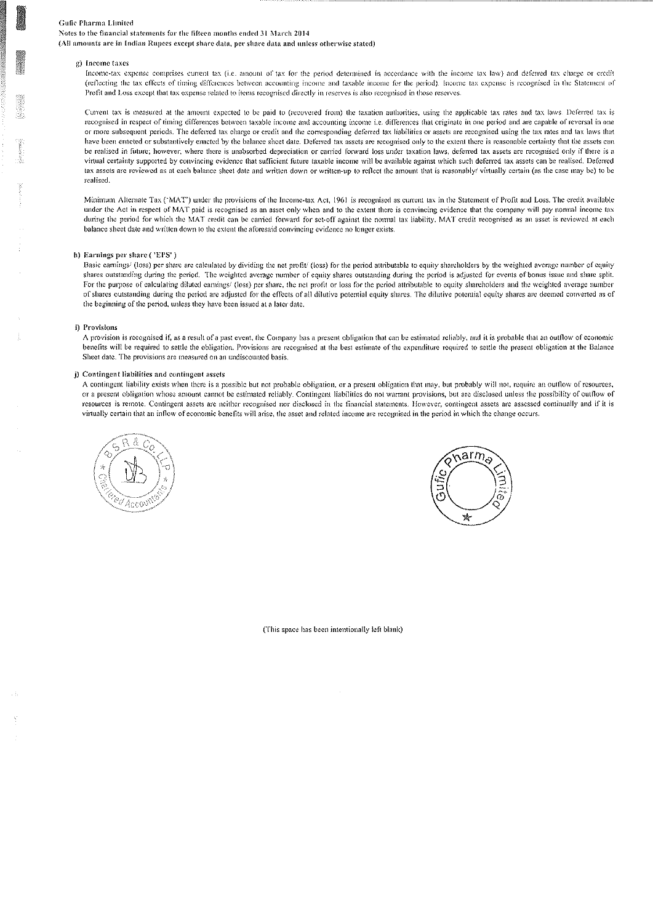Notes to the financial statements for the fifteen months ended 31 March 2014

(All amounts are in Indian Rupees except share data, per share data and unless otherwise stated)

#### g) Income taxes

Income-tax expense comprises current tax (i.e. amount of tax for the period determined in accordance with the income tax law) and deferred tax charge or credit (reflecting the tax effects of timing differences between accounting income and taxable income for the period). Income tax expense is recognised in the Statement of Profit and Loss except that tax expense related to items recognised directly in reserves is also recognised in those reserves.

Current tax is measured at the amount expected to be paid to (recovered from) the taxation authorities, using the applicable tax rates and tax laws. Deferred tax is recognised in respect of timing differences between taxable income and accounting income i.e. differences that originate in one period and are capable of reversal in one or more subsequent periods. The deferred tax charge or credit and the corresponding deferred tax liabilities or assets are recognised using the tax rates and tax laws that have been enacted or substantively enacted by the balance sheet date. Deferred tax assets are recognised only to the extent there is reasonable certainty that the assets can be realised in future; however, where there is unabsorbed depreciation or carried forward loss under taxation laws, deferred tax assets are recognised only if there is a virtual certainty supported by convincing evidence that sufficient future taxable income will be available against which such deferred tax assets can be realised. Deferred tax assets are reviewed as at each balance sheet date and written down or written-up to reflect the amount that is reasonably/ virtually certain (as the case may be) to be realised.

Minimum Alternate Tax ('MAT') under the provisions of the Income-tax Act, 1961 is recognised as current tax in the Statement of Profit and Loss. The credit available under the Act in respect of MAT paid is recognised as an asset only when and to the extent there is convincing evidence that the company will pay normal income tax during the period for which the MAT credit can be carried forward for set-off against the normal tax liability. MAT credit recognised as an asset is reviewed at each balance sheet date and written down to the extent the aforesaid convincing evidence no longer exists.

#### h) Earnings per share ('EPS')

Basic earnings/ (loss) per share are calculated by dividing the net profit/ (loss) for the period attributable to equity shareholders by the weighted average number of equity shares outstanding during the period. The weighted average number of equity shares outstanding during the period is adjusted for events of bonus issue and share split. For the purpose of calculating diluted earnings/ (loss) per share, the net profit or loss for the period attributable to equity shareholders and the weighted average number of shares outstanding during the period are adjusted for the effects of all dilutive potential equity shares. The dilutive potential equity shares are deemed converted as of the beginning of the period, unless they have been issued at a later date.

#### i) Provisions

A provision is recognised if, as a result of a past event, the Company has a present obligation that can be estimated reliably, and it is probable that an outflow of economic benefits will be required to settle the obligation. Provisions are recognised at the best estimate of the expenditure required to settle the present obligation at the Balance Sheet date. The provisions are measured on an undiscounted basis.

#### j) Contingent liabilities and contingent assets

A contingent liability exists when there is a possible but not probable obligation, or a present obligation that may, but probably will not, require an outflow of resources, or a present obligation whose amount cannot be estimated reliably. Contingent liabilities do not warrant provisions, but are disclosed unless the possibility of outflow of resources is remote. Contingent assets are neither recognised nor disclosed in the financial statements. However, contingent assets are assessed continually and if it is virtually certain that an inflow of economic benefits will arise, the asset and related income are recognised in the period in which the change occurs.





(This space has been intentionally left blank)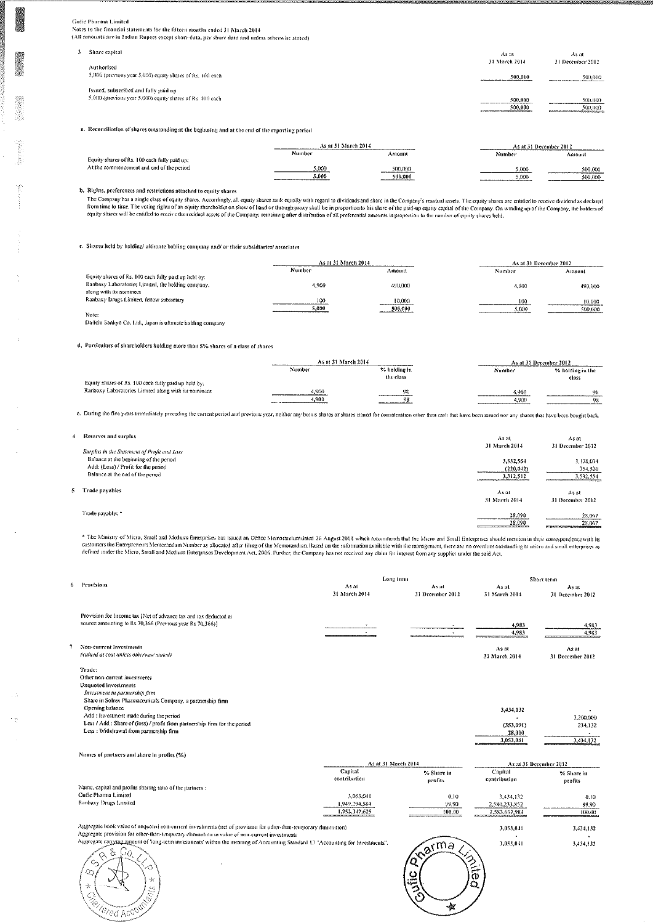Gulie Phacosa Limited

Notes to the financial statements for the fifteen months ended 31 March 2014 (All amounts are in Indian Rupees except share data, per share data and unless otherwise stated)

| Share capital                                              | As at<br>31 March 2014                                                      | As at                                                          |
|------------------------------------------------------------|-----------------------------------------------------------------------------|----------------------------------------------------------------|
| Authorised                                                 |                                                                             | 31 December 2012                                               |
| 5,000 (previous year 5,000) equity shares of Rs. 100 each  | 500,000                                                                     | 500,000                                                        |
| Issued, subsectbed and fully paid up                       |                                                                             |                                                                |
| 5,000 (previous year 5,000) equity shares of Rs. 100 each. | 500,000<br><br>500,000<br><b>EAST COMPANY OF THE COMPANY OF THE COMPANY</b> | 500,000<br>500,000<br>ELECTRON UNIVERSITY AND LODGED WAS CITED |
|                                                            |                                                                             |                                                                |

a. Reconciliation of shares outstanding at the beginning and at the end of the reporting period

|                                              | As at 31 March 2014.             |                                                  |                               | As at 31 December 2012 |
|----------------------------------------------|----------------------------------|--------------------------------------------------|-------------------------------|------------------------|
| Equity shares of Rs. 100 each fully paid up: | Number                           | Amount                                           | Number                        | Amount                 |
| At the commencement and end of the period    | 5.000<br>--------------<br>5.000 | 500,000<br>500,000<br>-------------------------- | 5,000<br>-----------<br>5.000 | 500,000<br>500,000     |

b. Rights, preferences and restrictions attached to equity shares

The Company has a single class of equity shares. Accordingly, all equity shares rank equally with regard to dividends and share in the Company's residual assets. The equity shares are entitled to receive dividend as declar

c. Shares held by holding/uftimate holding company and/ or their subsidiaries/ associates

|                                                      | As at 31 March 2014 |                                  |        | As at 31 December 2012 |  |
|------------------------------------------------------|---------------------|----------------------------------|--------|------------------------|--|
|                                                      | Number              | Amount                           | Number | Amount                 |  |
| Equity shares of Rs. 100 each fully paid up held by: |                     |                                  |        |                        |  |
| Ranbaxy Laboratories Limited, the holding company,   | 4 9(H)              | 490,000                          | 4,900  | 490,000                |  |
| along with its nominees                              |                     |                                  |        |                        |  |
| Ranbaxy Drugs Limited, fellow subsidiary             | 100                 | 10,000                           | 100    | 10.000                 |  |
|                                                      | 5.000               | ---------------------<br>500,000 | 5,000  | 500,000                |  |
| Note:                                                |                     |                                  |        |                        |  |

Daiichi Sankyo Co. Ltd., Japan is ultimate holding company

 $\overline{A}$ 

5

 $\overline{\phantom{a}}$ 

Ĵ.

d. Particulars of shareholders holding more than 5% shares of a class of shares

|                                                      | As at 31 March 2014                          |                                          | As at 31 December 2012 |                           |
|------------------------------------------------------|----------------------------------------------|------------------------------------------|------------------------|---------------------------|
|                                                      | Number                                       | % holding in<br>the class                | Number                 | % holding in the<br>class |
| Equity shares of Rs. 100 each fully paid up held by: |                                              |                                          |                        |                           |
| Ranbaxy Laboratories Limited along with its nominees | .900<br>_______________________              | 98<br><b>STORY IN CASH A TABLE AND I</b> | 4.900                  | 9S                        |
|                                                      | 1.900<br>-------------------------<br>------ | 98                                       | 4.9(X                  | 98                        |

e. During the five years immediately preceding the current period and previous year, neither any bonus shares or shares issued for consideration other than cash that have been issued nor any shares that have been bought ba

| Reserves and surplus<br>Surplus in the Statement of Profit and Loss                                               | Asat<br>31 March 2014                                                       | $A$ s at<br>31 December 2012      |
|-------------------------------------------------------------------------------------------------------------------|-----------------------------------------------------------------------------|-----------------------------------|
| Balance at the beginning of the period<br>Add: (Loss) / Profit for the period<br>Balance at the end of the period | 3,532,554<br>(220, 042)<br>3,312,512<br>ENTRY THE TRANSPORTER ENTERTAINMENT | 3,178,034<br>354,520<br>3,532,554 |
| Trade payables                                                                                                    | As at<br>31 March 2014                                                      | As at<br>31 December 2012         |
| Trade payables *                                                                                                  | 28.090<br>28.090<br>the contract of the second company of the               | 28,067<br>28,067                  |

\* The Ministry of Micro, Small and Medium Enterprises has issued an Office Memorandum dated 26 August 2008 which recommends that the Micro and Small Enterprises should mention in their correspondence with its<br>customers the

|                                                                                                                                                                                                                | Long term                      |                           |                        | Short term                |
|----------------------------------------------------------------------------------------------------------------------------------------------------------------------------------------------------------------|--------------------------------|---------------------------|------------------------|---------------------------|
| Provisions                                                                                                                                                                                                     | As at<br>31 March 2014         | As at<br>31 December 2012 | As at<br>31 March 2014 | As at<br>31 December 2012 |
| Provision for Income tax [Net of advance tax and tax deducted at<br>source amounting to Rs 70,366 (Previous year Rs 70,366)]                                                                                   |                                |                           | 4.983                  |                           |
|                                                                                                                                                                                                                |                                |                           | 4.983                  | 4,983<br>4,983            |
| Non-current investments<br>(valued at cost unless otherwise stated)                                                                                                                                            |                                |                           | As at<br>31 March 2014 | As at<br>31 December 2012 |
| Trade:<br>Other non-current investments<br><b>Unquoted</b> investments<br>Investment in partnership firm<br>Share in Solrex Pharmaceuticals Company, a partnership firm                                        |                                |                           |                        |                           |
| Opening balance                                                                                                                                                                                                |                                |                           | 3,434,132              |                           |
| Add : Investment made during the period<br>Less / Add : Share of (loss) / profit from partnership firm for the period                                                                                          |                                |                           |                        | 3,200,000                 |
| Less : Withdrawal from partnership firm                                                                                                                                                                        |                                |                           | (353.091)<br>28,000    | 234,132                   |
|                                                                                                                                                                                                                |                                |                           | 3.053.041              | 3,434,132                 |
| Names of partners and share in profits (%)                                                                                                                                                                     |                                |                           |                        |                           |
|                                                                                                                                                                                                                | As at 31 March 2014<br>Capital |                           | Capital                | As at 31 December 2012    |
|                                                                                                                                                                                                                | contribution                   | % Share in<br>profits     | contribution           | % Share in<br>profits     |
| Name, capital and profits sharing ratio of the partners :                                                                                                                                                      |                                |                           |                        |                           |
| Gufic Pharma Limited                                                                                                                                                                                           | 3,053,041                      | 0.10                      | 3, 434, 132            | 0.10                      |
| Ranbaxy Drugs Limited                                                                                                                                                                                          | 1.949.294.584                  | 99.90                     | 2,580,233,852          | 99.90                     |
|                                                                                                                                                                                                                | 1,952,347,625                  | 100.00                    | 2.583.667.984          | 100.00                    |
| Aggregate book value of unquoted non-current investments (net of provision for other-than-temporary diminution)<br>Aggregate provision for other-than-temporary diminution in value of non-current investments |                                |                           | 3,053,041              | 3,434,132                 |
| Aggregate carrying amount of 'long-term myesunents' within the meaning of Accounting Standard 13 "Accounting for Investments".<br>$2 G \wedge$<br>$\sim$                                                       |                                | $\sqrt{a}$                | 3,053,041              | 3,434,132                 |



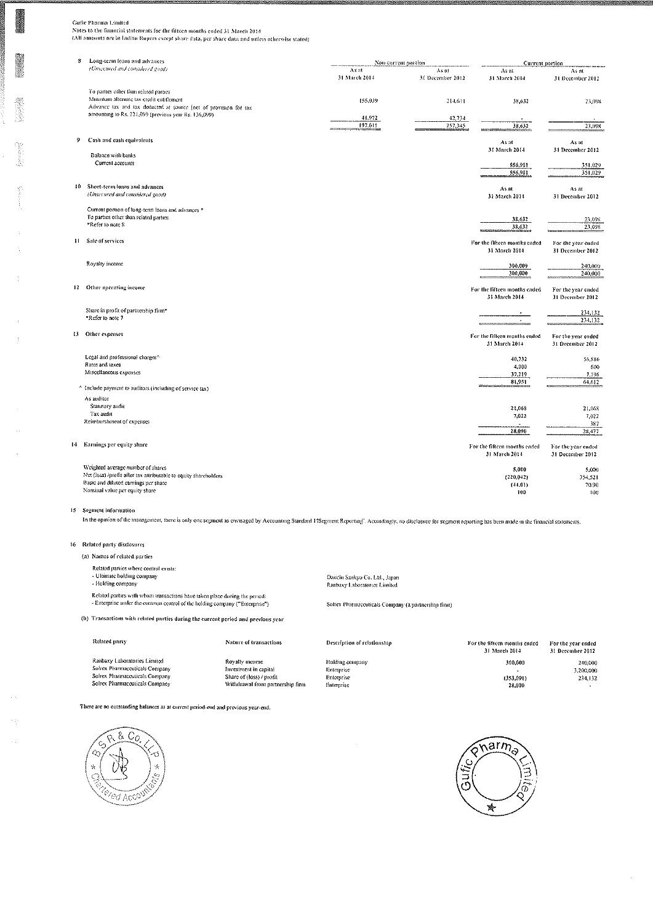Guite Practura Latmicet<br>Notes to the financial statements for the filteen months ended 31 March 2014<br>(All amounts are in Indiau Rupees except share data, per share data and unless otherwise stated)

| 8 | Long-term loans and advances                                                                                                                                                                                   |                              | Non-current portion          | Current portion                                         |                                                  |
|---|----------------------------------------------------------------------------------------------------------------------------------------------------------------------------------------------------------------|------------------------------|------------------------------|---------------------------------------------------------|--------------------------------------------------|
|   | (Unsecured and considered good)                                                                                                                                                                                | As at<br>31 March 2014       | As at<br>31 December 2012    | As at<br>31 March 2014                                  | As at<br>31 December 2012                        |
|   | To parties other than related parties<br>Minimum alternate tax credit entitlement<br>Advance tax and tax deducted at source [net of provision for tax<br>amounting to Rs. 221,099 (previous year Rs. 136,099). | 155,039<br>41.972<br>197,011 | 214,611<br>42.734<br>257.345 | 58,652<br>38,632                                        | 23,098<br>23,098                                 |
| 9 | Cash and cash equivalents                                                                                                                                                                                      |                              |                              | As at                                                   | As at                                            |
|   | <b>Dalance with banks</b><br>Current accounts                                                                                                                                                                  |                              |                              | 31 March 2014<br>556,901<br>556,901                     | 31 December 2012<br>351,029<br>351,029           |
|   | 10 Short-term loans and advances<br>(Unsecured and considered good)                                                                                                                                            |                              |                              | As at<br>31 March 2014                                  | As at<br>31 December 2012                        |
|   | Current portion of long-term loans and advances *<br>To parties other than related parties<br>*Refer to note 8                                                                                                 |                              |                              | 38,632<br>38,632                                        | 23,098<br>23,098                                 |
|   | il Sale of services                                                                                                                                                                                            |                              |                              | For the fifteen months ended<br>31 March 2014           | For the year ended<br>31 December 2012           |
|   | Royalty income                                                                                                                                                                                                 |                              |                              | 300,000<br>300,000                                      | 240,000<br>240,000                               |
|   | 12 Other operating income                                                                                                                                                                                      |                              |                              | For the fifteen months ended<br>31 March 2014           | For the year ended<br>31 December 2012           |
|   | Share in profit of partnership firm*<br>"Refer to note 7                                                                                                                                                       |                              |                              |                                                         | 234,132<br>2,44,132                              |
|   | 13 Other expenses                                                                                                                                                                                              |                              |                              | For the fifteen months caded<br>31 March 2014           | For the year ended<br>31 December 2012           |
|   | Legal and professional charges^<br>Rates and taxes<br>Miscellaneous expenses                                                                                                                                   |                              |                              | 40.732<br>4,000<br>37,219<br>81,951                     | 56,816<br>600<br>7,196<br>64,612                 |
|   | ^ Include payment to auditors (including of service tax)                                                                                                                                                       |                              |                              |                                                         |                                                  |
|   | As auditor<br>Statutory audit<br>Tax audit<br>Reimburshment of expenses                                                                                                                                        |                              |                              | 21,068<br>7,022                                         | 21.068<br>7,022<br>387                           |
|   | 14 Earnings per equity share                                                                                                                                                                                   |                              |                              | 28,090<br>For the fifteen months ended<br>31 March 2014 | 28,477<br>For the year ended<br>31 December 2012 |
|   | Weighted average number of shares<br>Net (loss) /profit after tax attributable to equity shareholders<br>Basic and diluted carnings per share<br>Nominal value per equity share                                |                              |                              | 5,000<br>(220, 042)<br>(44.01)<br>100                   | 5,000<br>354,521<br>70.90<br>100                 |

#### 15 Segment information

In the opinion of the management, there is only one segment as envisaged by Accounting Standard 17Segment Reporting'. Accordingly, no disclosure for segment reporting has been made in the financial statements.

#### 16 Related party disclosures

Related party

 $\sim$   $\gamma$ 

Ranbaxy Laboratories Limited<br>Solrex Pharmaceuticals Company

Solitex Pharmaceuticals Company<br>Solitex Pharmaceuticals Company

(a) Names of related parties Related parties where control exists: - Ultimate holding company - Rolding company

Related parties with whom transactions have taken place during the period:<br>- Enterprise under the common control of the holding company ("Enterprise")

Daiichi Sankyo Co. Ltd., Japan Ranbaxy Laboratories Limited

Soltex Pharmaceuticals Company (a partnership firm)

(b) Transactions with related parties during the current period and previous year

| Nature of transactions           | Description of relationship | For the fifteen months caded<br>31 March 2014 | For the year ended<br>31 December 2012 |
|----------------------------------|-----------------------------|-----------------------------------------------|----------------------------------------|
| Royalty meeme                    | Holding company             | 300,000                                       | 240,000                                |
| Investment in capital            | Enterprise                  |                                               | 3,200,000                              |
| Share of (loss) / profit         | Enterprise                  | (353.091)                                     | 234,132                                |
| Withdrawal from partnership firm | Enterprise                  | 28.000                                        |                                        |

There are no outstanding balances as at current period-end and previous year-end.